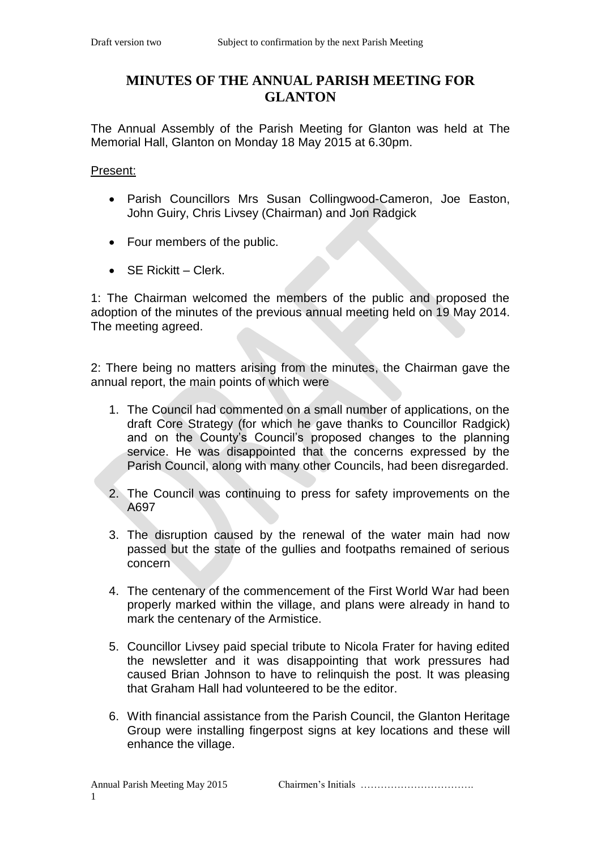## **MINUTES OF THE ANNUAL PARISH MEETING FOR GLANTON**

The Annual Assembly of the Parish Meeting for Glanton was held at The Memorial Hall, Glanton on Monday 18 May 2015 at 6.30pm.

Present:

- Parish Councillors Mrs Susan Collingwood-Cameron, Joe Easton, John Guiry, Chris Livsey (Chairman) and Jon Radgick
- Four members of the public.
- SE Rickitt Clerk.

1: The Chairman welcomed the members of the public and proposed the adoption of the minutes of the previous annual meeting held on 19 May 2014. The meeting agreed.

2: There being no matters arising from the minutes, the Chairman gave the annual report, the main points of which were

- 1. The Council had commented on a small number of applications, on the draft Core Strategy (for which he gave thanks to Councillor Radgick) and on the County's Council's proposed changes to the planning service. He was disappointed that the concerns expressed by the Parish Council, along with many other Councils, had been disregarded.
- 2. The Council was continuing to press for safety improvements on the A697
- 3. The disruption caused by the renewal of the water main had now passed but the state of the gullies and footpaths remained of serious concern
- 4. The centenary of the commencement of the First World War had been properly marked within the village, and plans were already in hand to mark the centenary of the Armistice.
- 5. Councillor Livsey paid special tribute to Nicola Frater for having edited the newsletter and it was disappointing that work pressures had caused Brian Johnson to have to relinquish the post. It was pleasing that Graham Hall had volunteered to be the editor.
- 6. With financial assistance from the Parish Council, the Glanton Heritage Group were installing fingerpost signs at key locations and these will enhance the village.

Annual Parish Meeting May 2015 Chairmen's Initials ………………………………………………………………………………